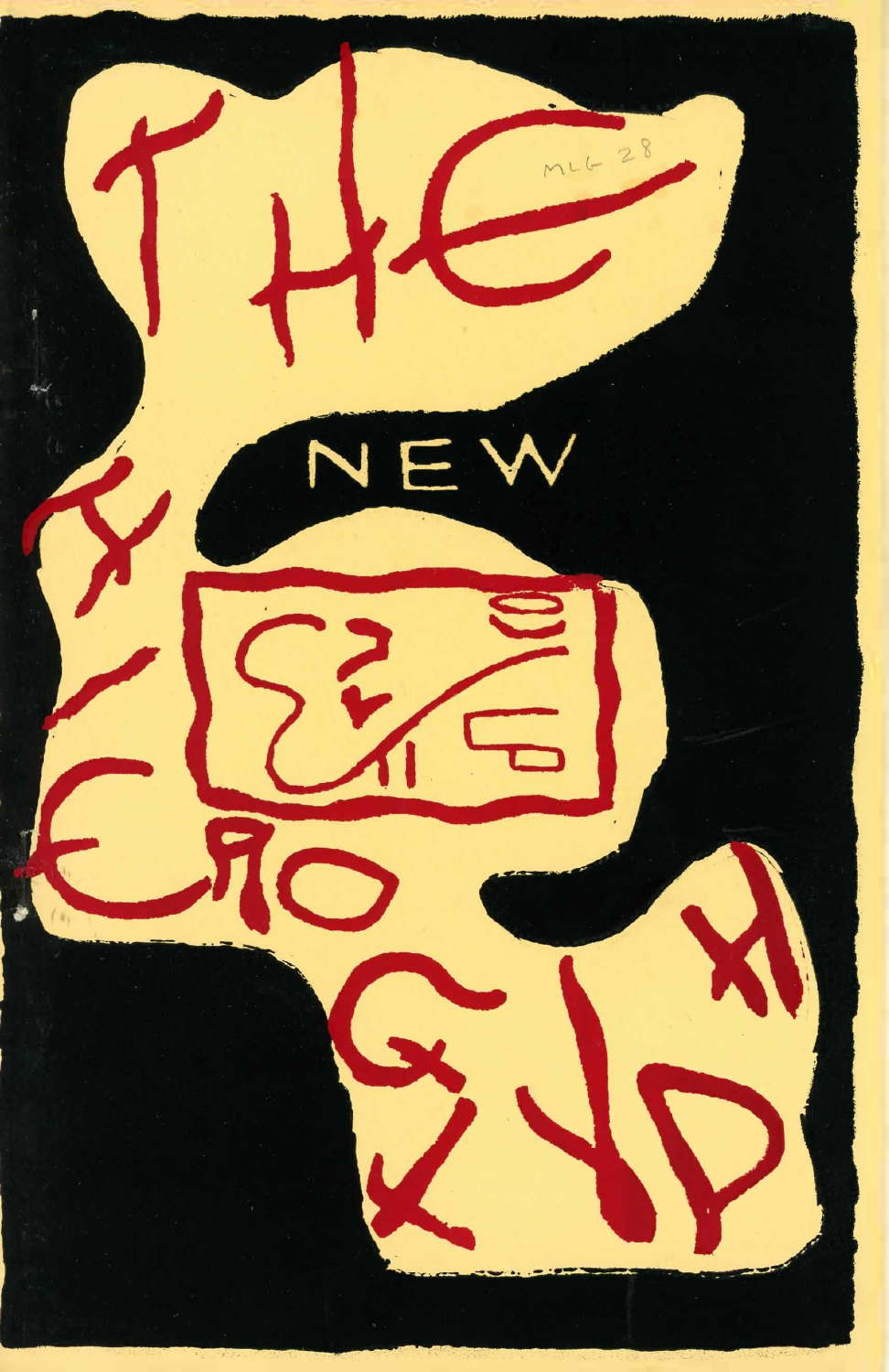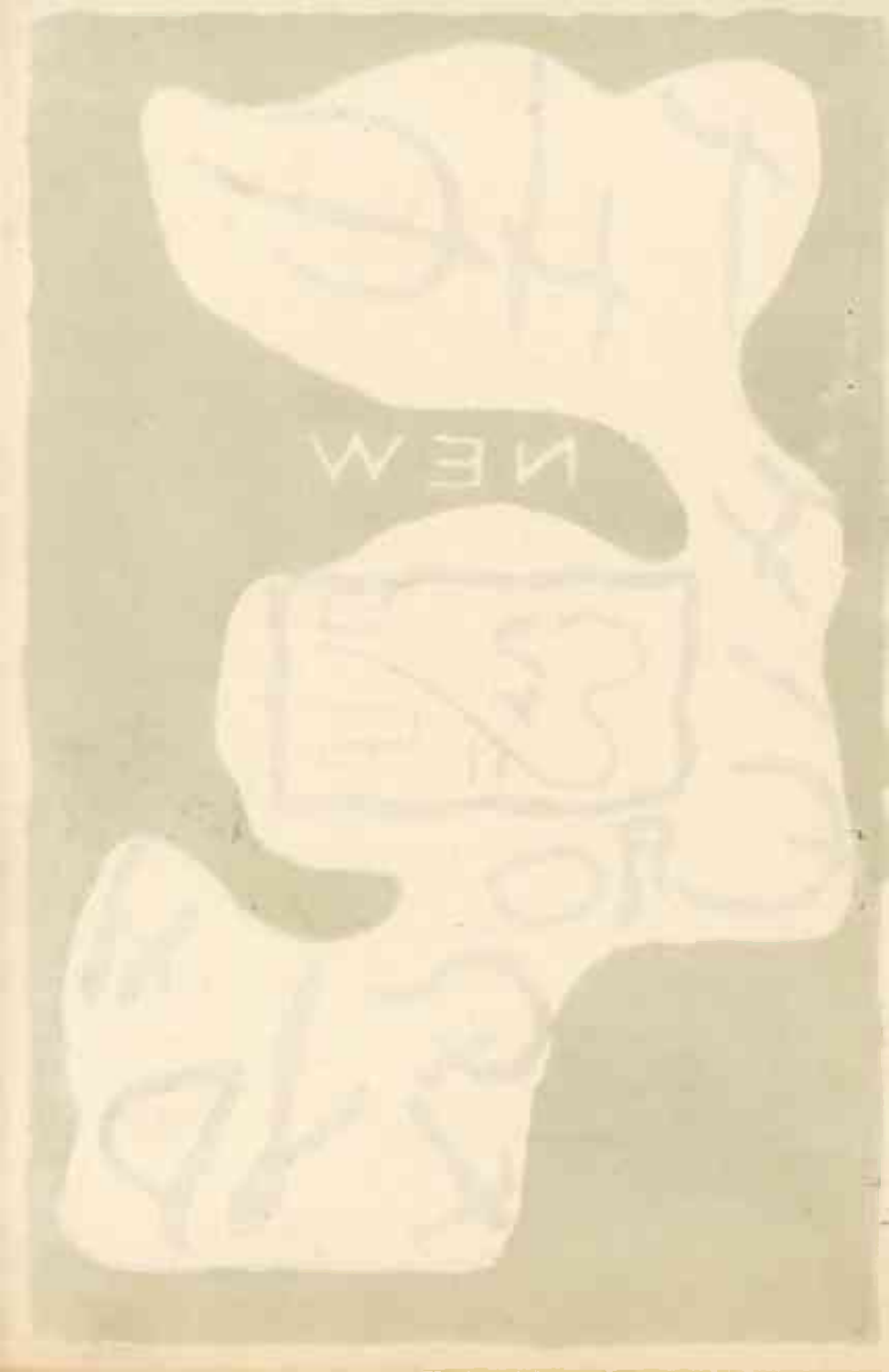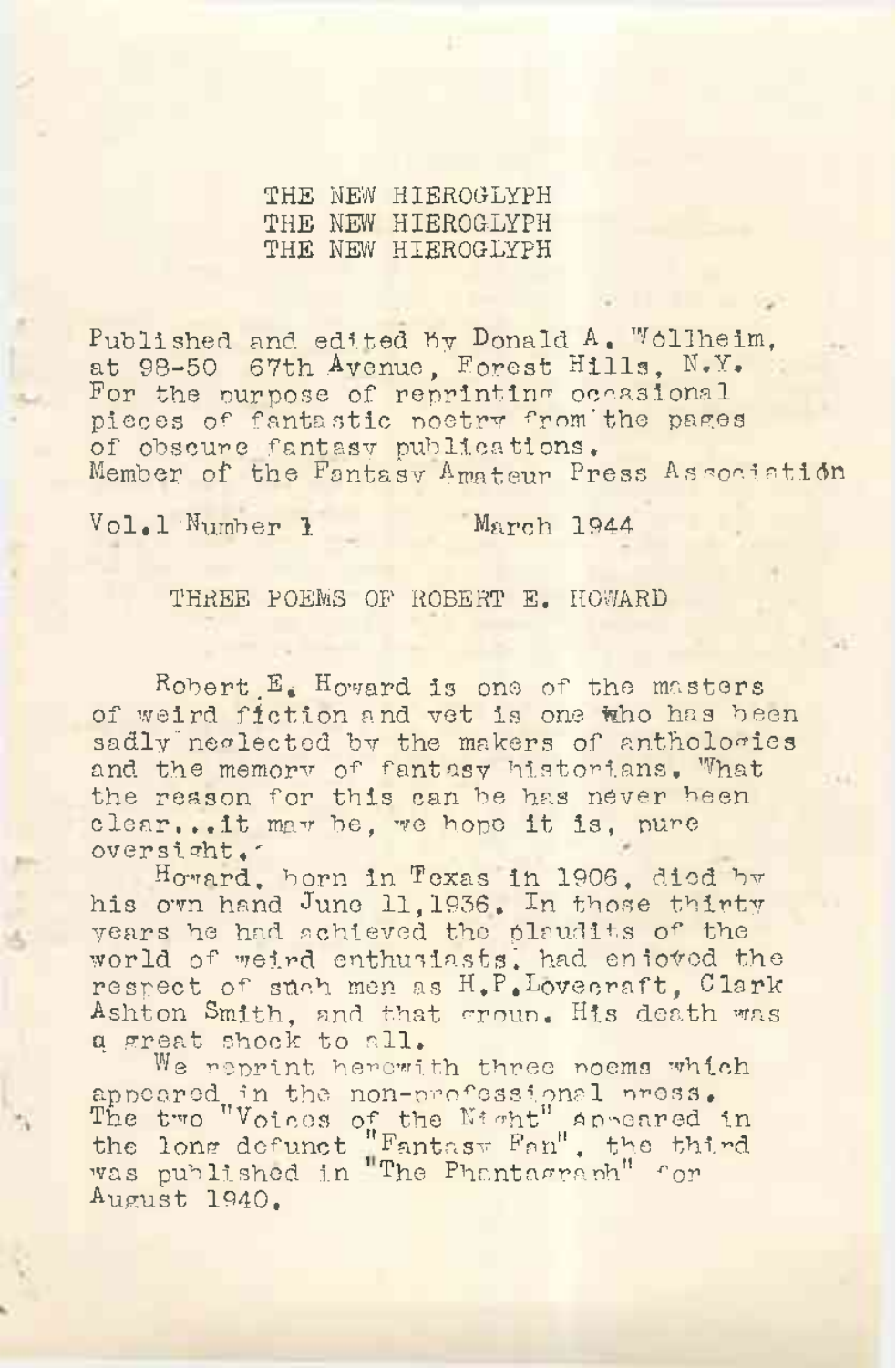#### THE NEW HIEROGLYPH THE NEW HIEROGLYPH THE NEW HIEROGLYPH

Published and edited  $h_v$  Donald A. Wollheim. at 98-50 67th Avenue, Forest Hills, N.Y. For the purpose of reprinting occasional pieces of fantastic poetry from the pages of obscure fantasy publications. Member of the Fantasy Amateur Press Association

Vol.1 Number 1 March 1944

THREE POEMS OF ROBERT E. HOWARD

Robert E. Howard is one of the masters of weird fiction and vet is one who has been sadly neglected by the makers of anthologies and the memory of fantasy historians. What the reason for this can be has never been clear...it mav be, we hope it is, pure oversight.'

Howard, horn in Texas in 1906, died hv his own hand June 11,1956. In those thirty years he had achieved the plaudits of the world of weird enthusiasts, had enioved the respect of snch men as H.P. Lovecraft, Clark Ashton Smith, and that group. His death was a great shock to all.

We reprint herewith three noems which appeared in the non-professional press. The two "Voices of the Night" Appeared in the long defunct "Fantasy Fan", the third was published in "The Phantagraph" for August 1940,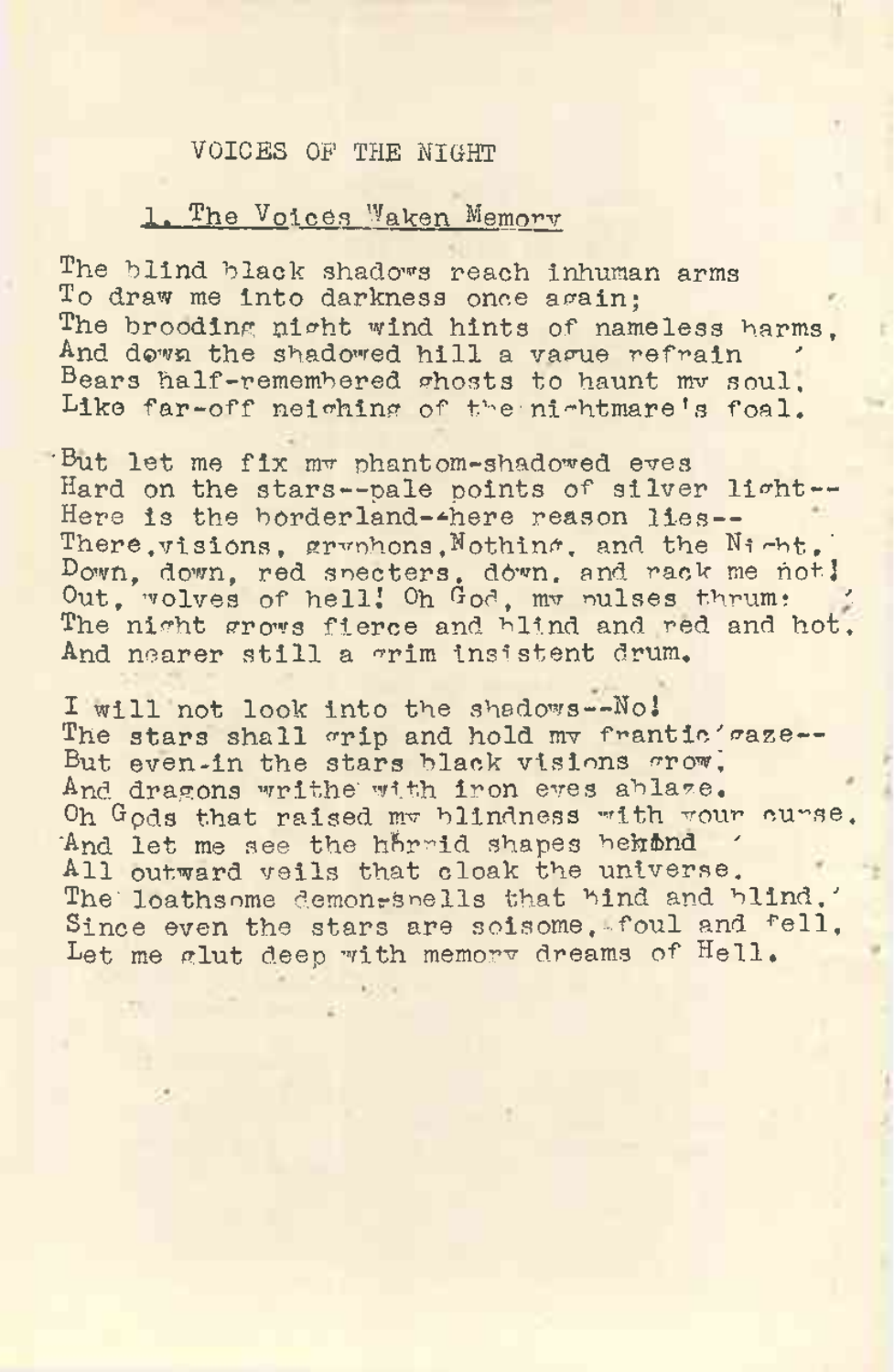#### VOICES OF THE NTGHT

### 1. The Voices Waken Memory

The blind black shadows reach inhuman arms To draw me into darkness once again: The brooding night wind hints of nameless harms. And down the shadowed hill a vague refrain Bears half-remembered ghosts to haunt my soul. Like far-off neighing of the nightmare's foal.

But let me fix my phantom-shadowed eves Hard on the stars--pale points of silver light--Here is the borderland--here reason lies--There, visions, grwnhons, Nothing, and the Night, Down, down, red specters, down, and rack me not! The night grows fierce and blind and red and hot. And nearer still a grim insistent drum.

I will not look into the shadows--No! The stars shall grip and hold my frantic'saze --But even-in the stars black visions grow. And dragons writhe with iron eves ablaze. Oh Gods that raised my blindness with your curse. And let me see the horrid shapes behond All outward veils that cloak the universe. The loathsome demonsionells that bind and blind.' Since even the stars are soisome. foul and fell. Let me glut deep with memory dreams of Hell.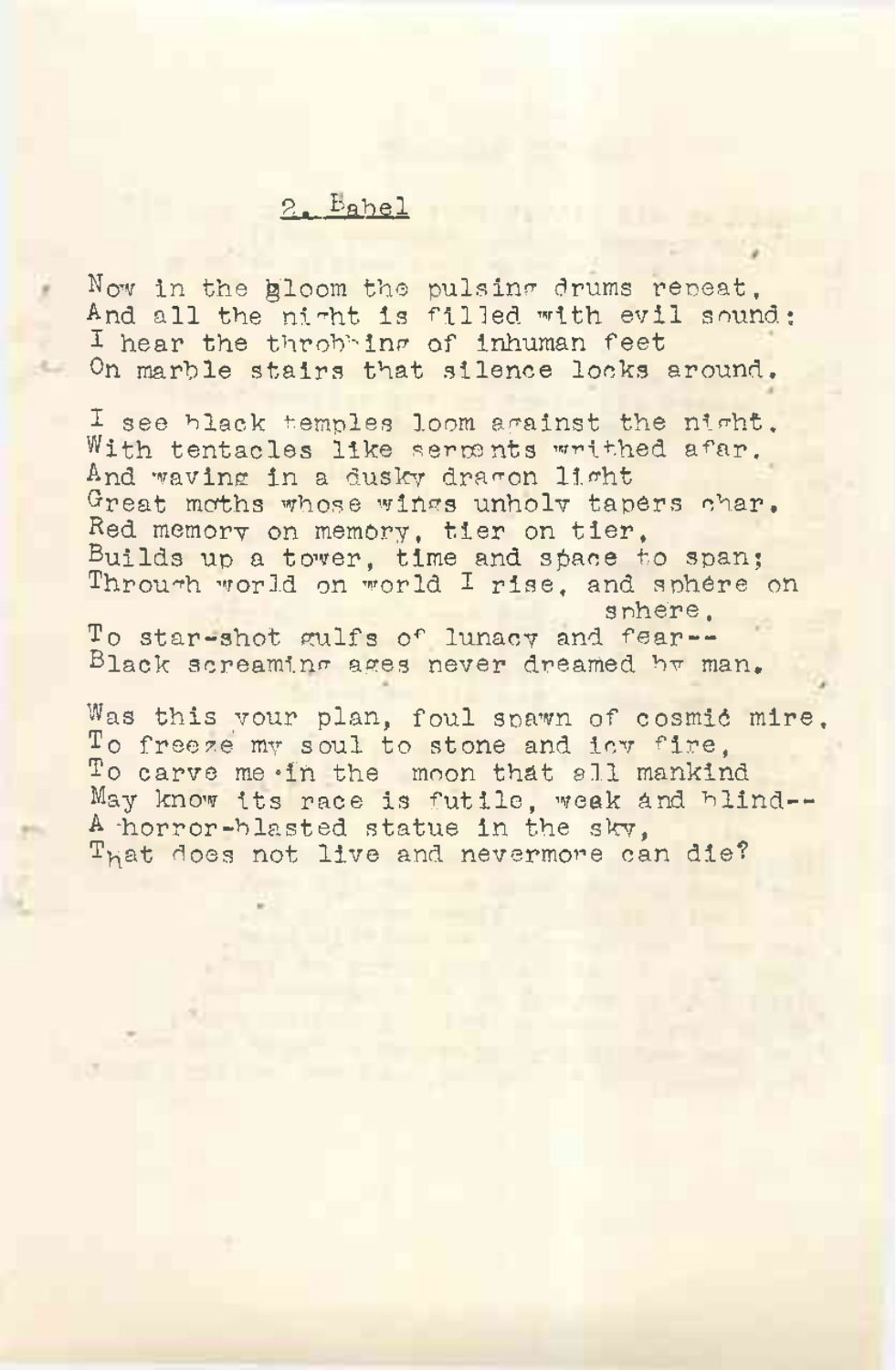# 2. **<b>b**<sub>abe</sub><sup>1</sup>

Now in the gloom the pulsing drums repeat, And all the night is filled with evil sound: I hear the throbhing of inhuman feet On marble stairs that silence locks around.

 $I$  see black temples loom against the night. With tentacles like serments writhed afar. And waving in a dusky dragon light Great moths whose wings unholy tapers char. Red memory on memory, tier on tier, Builds up a tower, time and space to span; Through world on world I rise, and sphere on snhere.

To star-shot gulfs of lunacy and fear--Black screaming ages never dreamed by man.

Was this your plan, foul spawn of cosmid mire. To freeze my soul to stone and icy fire, To carve me in the moon that all mankind May know its race is futile, weak and blind--<sup>A</sup> -horror-hlasted statue in the sky, That does not live and nevermore can die?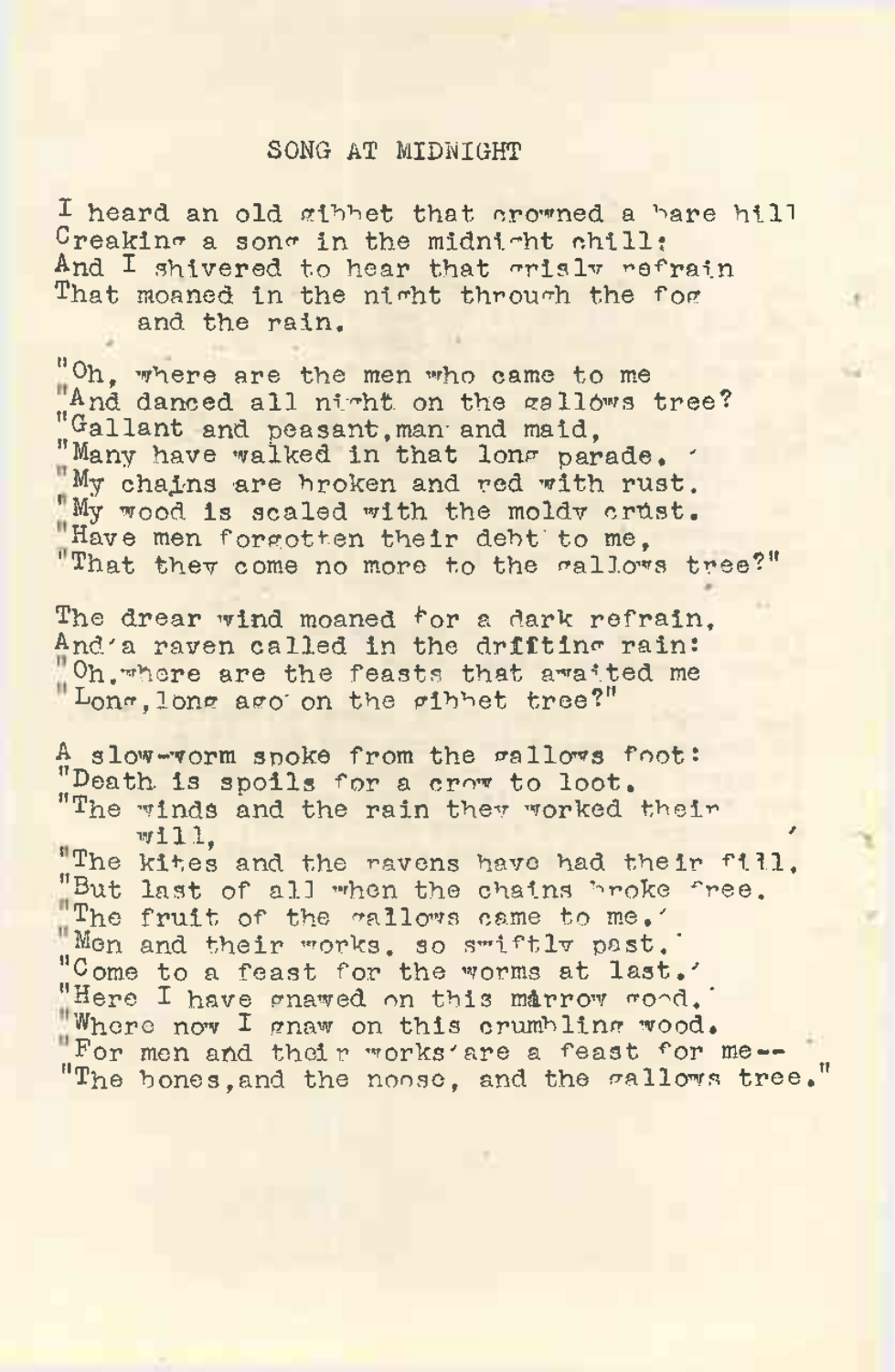## SONG AT MIDNIGHT

I heard an old gibbet that crowned a bare hill  $C$ reaking a song in the midnight chill: And I shivered to hear that crisly refrain That moaned in the night through the foe and the rain.

"Oh, where are the men who came to me "And danced all night on the gallows tree? ' Gallant and peasant,man- and maid, "Many have walked in that lone parade. ' My chains are broken and red with rust. "My wood is scaled with the moldv crust. "Have men forgotten their debt to me, That they come no more to the gallows tree?"

The drear wind moaned for a dark refrain. And'a raven called in the drifting rain: Oh, where are the feasts that awaited me "Long, long ago on the gibbet tree?"

A slow-worm spoke from the callows foot: "Death is spoils for a crow to loot. "The winds and the rain they worked their" vinds and the rain they vorked their will, will, will, will, will, will, will,  $\mathbf{r}$ "But last of all when the chains broke free. The fruit of the callows came to me.' "Men and their works, so swiftly past. "Come to a feast for the worms at last.' "Here I have gnawed on this marrow word. Where now I gnaw on this crumbling wood. For men and their works'are a feast for me -- $"The bones, and the noose, and the *callows* tree.$